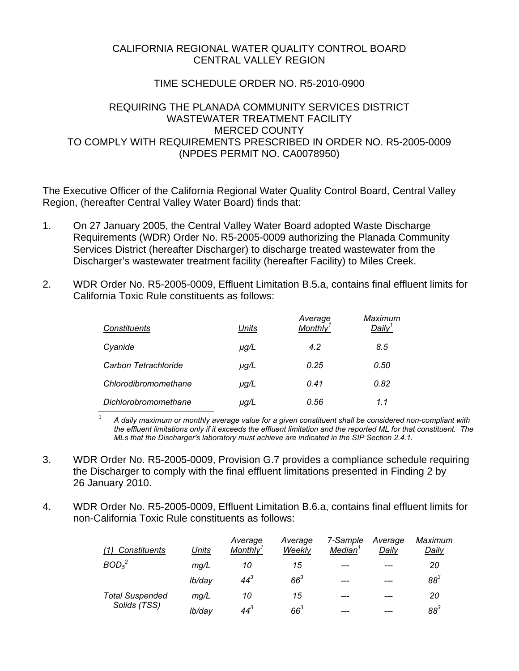## CALIFORNIA REGIONAL WATER QUALITY CONTROL BOARD CENTRAL VALLEY REGION

## TIME SCHEDULE ORDER NO. R5-2010-0900

## REQUIRING THE PLANADA COMMUNITY SERVICES DISTRICT WASTEWATER TREATMENT FACILITY MERCED COUNTY TO COMPLY WITH REQUIREMENTS PRESCRIBED IN ORDER NO. R5-2005-0009 (NPDES PERMIT NO. CA0078950)

The Executive Officer of the California Regional Water Quality Control Board, Central Valley Region, (hereafter Central Valley Water Board) finds that:

- 1. On 27 January 2005, the Central Valley Water Board adopted Waste Discharge Requirements (WDR) Order No. R5-2005-0009 authorizing the Planada Community Services District (hereafter Discharger) to discharge treated wastewater from the Discharger's wastewater treatment facility (hereafter Facility) to Miles Creek.
- 2. WDR Order No. R5-2005-0009, Effluent Limitation B.5.a, contains final effluent limits for California Toxic Rule constituents as follows:

| Constituents         | Units     | Average<br>Monthly <sup>1</sup> | Maximum<br>Daily $^1$ |
|----------------------|-----------|---------------------------------|-----------------------|
| Cyanide              | $\mu$ g/L | 4.2                             | 8.5                   |
| Carbon Tetrachloride | $\mu$ g/L | 0.25                            | 0.50                  |
| Chlorodibromomethane | $\mu$ g/L | 0.41                            | 0.82                  |
| Dichlorobromomethane | µg/L      | 0.56                            | 1.1                   |

<sup>1</sup> A daily maximum or monthly average value for a given constituent shall be considered non-compliant with *the effluent limitations only if it exceeds the effluent limitation and the reported ML for that constituent. The MLs that the Discharger's laboratory must achieve are indicated in the SIP Section 2.4.1.* 

- 3. WDR Order No. R5-2005-0009, Provision G.7 provides a compliance schedule requiring the Discharger to comply with the final effluent limitations presented in Finding 2 by 26 January 2010.
- 4. WDR Order No. R5-2005-0009, Effluent Limitation B.6.a, contains final effluent limits for non-California Toxic Rule constituents as follows:

| Constituents<br>(1)                    | <b>Units</b> | Average<br>Monthly <sup>1</sup> | Average<br>Weekly | 7-Sample<br><b>Median</b> | Average<br>Daily | Maximum<br>Daily |
|----------------------------------------|--------------|---------------------------------|-------------------|---------------------------|------------------|------------------|
| BOD <sub>5</sub> <sup>2</sup>          | mg/L         | 10                              | 15                | ---                       | ---              | 20               |
|                                        | lb/day       | $44^{3}$                        | $66^3$            | ---                       |                  | $88^3$           |
| <b>Total Suspended</b><br>Solids (TSS) | mq/L         | 10                              | 15                | ---                       | ---              | 20               |
|                                        | lb/day       | $44^{3}$                        | $66^3$            | ---                       |                  | $88^3$           |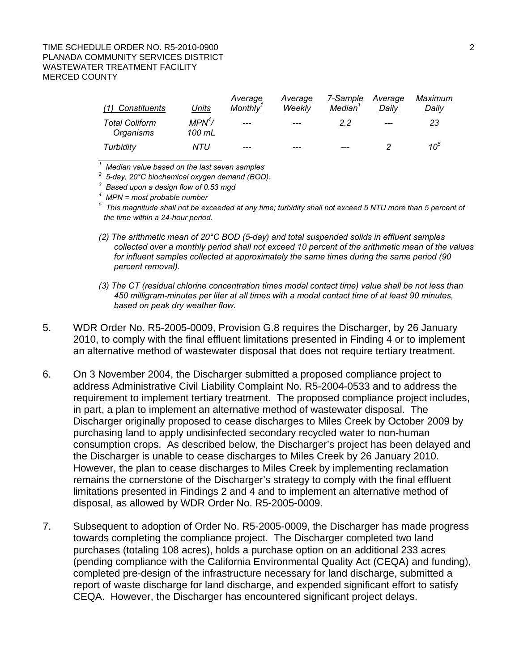### TIME SCHEDULE ORDER NO. R5-2010-0900 2 PLANADA COMMUNITY SERVICES DISTRICT WASTEWATER TREATMENT FACILITY MERCED COUNTY

| (1) Constituents                   | Units                        | Average<br>Monthly' | Average<br>Weekly | 7-Sample<br>Median' | Average<br>Dailv | Maximum<br>Dailv |
|------------------------------------|------------------------------|---------------------|-------------------|---------------------|------------------|------------------|
| <b>Total Coliform</b><br>Organisms | MPN <sup>4</sup> /<br>100 mL | $---$               | $---$             | 22                  | $---$            | 23               |
| Turbidity                          | NTU                          | ---                 |                   | ---                 |                  | 10 <sup>5</sup>  |

*1 Median value based on the last seven samples.* 

*2 5-day, 20°C biochemical oxygen demand (BOD).*

*3 Based upon a design flow of 0.53 mgd 4 MPN = most probable number*

*5 This magnitude shall not be exceeded at any time; turbidity shall not exceed 5 NTU more than 5 percent of the time within a 24-hour period.* 

- *(2) The arithmetic mean of 20°C BOD (5-day) and total suspended solids in effluent samples collected over a monthly period shall not exceed 10 percent of the arithmetic mean of the values for influent samples collected at approximately the same times during the same period (90 percent removal).*
- *(3) The CT (residual chlorine concentration times modal contact time) value shall be not less than 450 milligram-minutes per liter at all times with a modal contact time of at least 90 minutes, based on peak dry weather flow.*
- 5. WDR Order No. R5-2005-0009, Provision G.8 requires the Discharger, by 26 January 2010, to comply with the final effluent limitations presented in Finding 4 or to implement an alternative method of wastewater disposal that does not require tertiary treatment.
- 6. On 3 November 2004, the Discharger submitted a proposed compliance project to address Administrative Civil Liability Complaint No. R5-2004-0533 and to address the requirement to implement tertiary treatment. The proposed compliance project includes, in part, a plan to implement an alternative method of wastewater disposal. The Discharger originally proposed to cease discharges to Miles Creek by October 2009 by purchasing land to apply undisinfected secondary recycled water to non-human consumption crops. As described below, the Discharger's project has been delayed and the Discharger is unable to cease discharges to Miles Creek by 26 January 2010. However, the plan to cease discharges to Miles Creek by implementing reclamation remains the cornerstone of the Discharger's strategy to comply with the final effluent limitations presented in Findings 2 and 4 and to implement an alternative method of disposal, as allowed by WDR Order No. R5-2005-0009.
- 7. Subsequent to adoption of Order No. R5-2005-0009, the Discharger has made progress towards completing the compliance project. The Discharger completed two land purchases (totaling 108 acres), holds a purchase option on an additional 233 acres (pending compliance with the California Environmental Quality Act (CEQA) and funding), completed pre-design of the infrastructure necessary for land discharge, submitted a report of waste discharge for land discharge, and expended significant effort to satisfy CEQA. However, the Discharger has encountered significant project delays.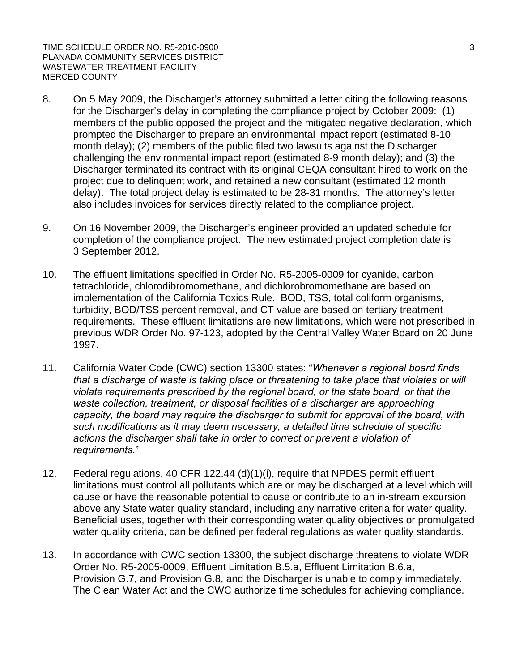TIME SCHEDULE ORDER NO. R5-2010-0900 3 PLANADA COMMUNITY SERVICES DISTRICT WASTEWATER TREATMENT FACILITY MERCED COUNTY

- 8. On 5 May 2009, the Discharger's attorney submitted a letter citing the following reasons for the Discharger's delay in completing the compliance project by October 2009: (1) members of the public opposed the project and the mitigated negative declaration, which prompted the Discharger to prepare an environmental impact report (estimated 8-10 month delay); (2) members of the public filed two lawsuits against the Discharger challenging the environmental impact report (estimated 8-9 month delay); and (3) the Discharger terminated its contract with its original CEQA consultant hired to work on the project due to delinquent work, and retained a new consultant (estimated 12 month delay). The total project delay is estimated to be 28-31 months. The attorney's letter also includes invoices for services directly related to the compliance project.
- 9. On 16 November 2009, the Discharger's engineer provided an updated schedule for completion of the compliance project. The new estimated project completion date is 3 September 2012.
- 10. The effluent limitations specified in Order No. R5-2005-0009 for cyanide, carbon tetrachloride, chlorodibromomethane, and dichlorobromomethane are based on implementation of the California Toxics Rule. BOD, TSS, total coliform organisms, turbidity, BOD/TSS percent removal, and CT value are based on tertiary treatment requirements. These effluent limitations are new limitations, which were not prescribed in previous WDR Order No. 97-123, adopted by the Central Valley Water Board on 20 June 1997.
- 11. California Water Code (CWC) section 13300 states: "*Whenever a regional board finds that a discharge of waste is taking place or threatening to take place that violates or will violate requirements prescribed by the regional board, or the state board, or that the waste collection, treatment, or disposal facilities of a discharger are approaching capacity, the board may require the discharger to submit for approval of the board, with such modifications as it may deem necessary, a detailed time schedule of specific actions the discharger shall take in order to correct or prevent a violation of requirements.*"
- 12. Federal regulations, 40 CFR 122.44 (d)(1)(i), require that NPDES permit effluent limitations must control all pollutants which are or may be discharged at a level which will cause or have the reasonable potential to cause or contribute to an in-stream excursion above any State water quality standard, including any narrative criteria for water quality. Beneficial uses, together with their corresponding water quality objectives or promulgated water quality criteria, can be defined per federal regulations as water quality standards.
- 13. In accordance with CWC section 13300, the subject discharge threatens to violate WDR Order No. R5-2005-0009, Effluent Limitation B.5.a, Effluent Limitation B.6.a, Provision G.7, and Provision G.8, and the Discharger is unable to comply immediately. The Clean Water Act and the CWC authorize time schedules for achieving compliance.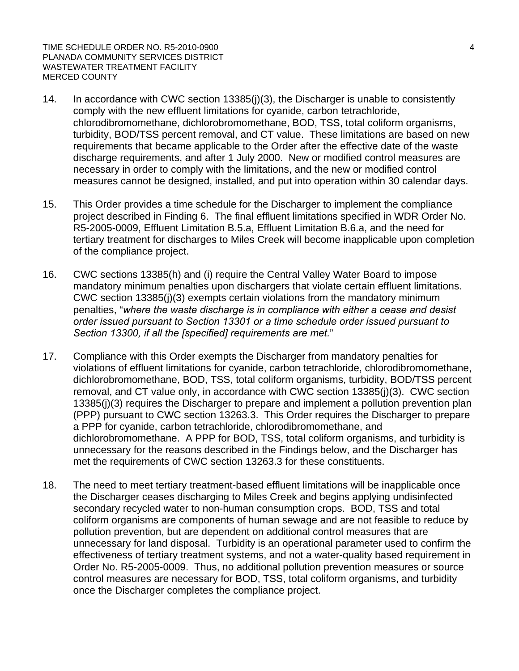TIME SCHEDULE ORDER NO. R5-2010-0900 4 PLANADA COMMUNITY SERVICES DISTRICT WASTEWATER TREATMENT FACILITY MERCED COUNTY

- 14. In accordance with CWC section 13385(j)(3), the Discharger is unable to consistently comply with the new effluent limitations for cyanide, carbon tetrachloride, chlorodibromomethane, dichlorobromomethane, BOD, TSS, total coliform organisms, turbidity, BOD/TSS percent removal, and CT value. These limitations are based on new requirements that became applicable to the Order after the effective date of the waste discharge requirements, and after 1 July 2000. New or modified control measures are necessary in order to comply with the limitations, and the new or modified control measures cannot be designed, installed, and put into operation within 30 calendar days.
- 15. This Order provides a time schedule for the Discharger to implement the compliance project described in Finding 6. The final effluent limitations specified in WDR Order No. R5-2005-0009, Effluent Limitation B.5.a, Effluent Limitation B.6.a, and the need for tertiary treatment for discharges to Miles Creek will become inapplicable upon completion of the compliance project.
- 16. CWC sections 13385(h) and (i) require the Central Valley Water Board to impose mandatory minimum penalties upon dischargers that violate certain effluent limitations. CWC section 13385(j)(3) exempts certain violations from the mandatory minimum penalties, "*where the waste discharge is in compliance with either a cease and desist order issued pursuant to Section 13301 or a time schedule order issued pursuant to Section 13300, if all the [specified] requirements are met.*"
- 17. Compliance with this Order exempts the Discharger from mandatory penalties for violations of effluent limitations for cyanide, carbon tetrachloride, chlorodibromomethane, dichlorobromomethane, BOD, TSS, total coliform organisms, turbidity, BOD/TSS percent removal, and CT value only, in accordance with CWC section 13385(j)(3). CWC section 13385(j)(3) requires the Discharger to prepare and implement a pollution prevention plan (PPP) pursuant to CWC section 13263.3. This Order requires the Discharger to prepare a PPP for cyanide, carbon tetrachloride, chlorodibromomethane, and dichlorobromomethane. A PPP for BOD, TSS, total coliform organisms, and turbidity is unnecessary for the reasons described in the Findings below, and the Discharger has met the requirements of CWC section 13263.3 for these constituents.
- 18. The need to meet tertiary treatment-based effluent limitations will be inapplicable once the Discharger ceases discharging to Miles Creek and begins applying undisinfected secondary recycled water to non-human consumption crops. BOD, TSS and total coliform organisms are components of human sewage and are not feasible to reduce by pollution prevention, but are dependent on additional control measures that are unnecessary for land disposal. Turbidity is an operational parameter used to confirm the effectiveness of tertiary treatment systems, and not a water-quality based requirement in Order No. R5-2005-0009. Thus, no additional pollution prevention measures or source control measures are necessary for BOD, TSS, total coliform organisms, and turbidity once the Discharger completes the compliance project.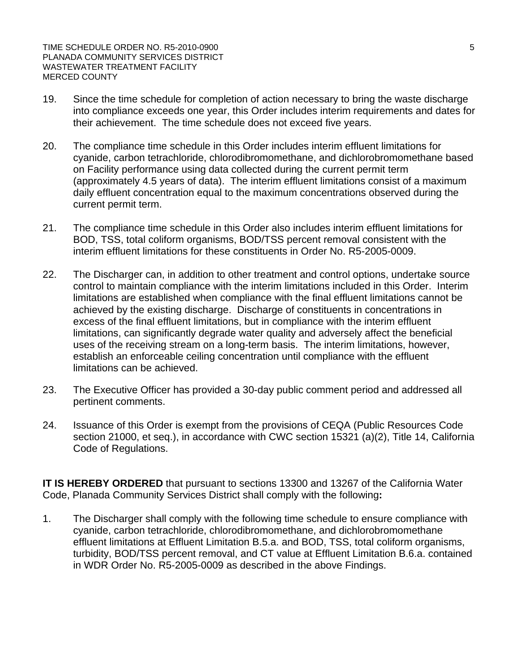- 19. Since the time schedule for completion of action necessary to bring the waste discharge into compliance exceeds one year, this Order includes interim requirements and dates for their achievement. The time schedule does not exceed five years.
- 20. The compliance time schedule in this Order includes interim effluent limitations for cyanide, carbon tetrachloride, chlorodibromomethane, and dichlorobromomethane based on Facility performance using data collected during the current permit term (approximately 4.5 years of data). The interim effluent limitations consist of a maximum daily effluent concentration equal to the maximum concentrations observed during the current permit term.
- 21. The compliance time schedule in this Order also includes interim effluent limitations for BOD, TSS, total coliform organisms, BOD/TSS percent removal consistent with the interim effluent limitations for these constituents in Order No. R5-2005-0009.
- 22. The Discharger can, in addition to other treatment and control options, undertake source control to maintain compliance with the interim limitations included in this Order. Interim limitations are established when compliance with the final effluent limitations cannot be achieved by the existing discharge. Discharge of constituents in concentrations in excess of the final effluent limitations, but in compliance with the interim effluent limitations, can significantly degrade water quality and adversely affect the beneficial uses of the receiving stream on a long-term basis. The interim limitations, however, establish an enforceable ceiling concentration until compliance with the effluent limitations can be achieved.
- 23. The Executive Officer has provided a 30-day public comment period and addressed all pertinent comments.
- 24. Issuance of this Order is exempt from the provisions of CEQA (Public Resources Code section 21000, et seq.), in accordance with CWC section 15321 (a)(2), Title 14, California Code of Regulations.

**IT IS HEREBY ORDERED** that pursuant to sections 13300 and 13267 of the California Water Code, Planada Community Services District shall comply with the following**:** 

1. The Discharger shall comply with the following time schedule to ensure compliance with cyanide, carbon tetrachloride, chlorodibromomethane, and dichlorobromomethane effluent limitations at Effluent Limitation B.5.a. and BOD, TSS, total coliform organisms, turbidity, BOD/TSS percent removal, and CT value at Effluent Limitation B.6.a. contained in WDR Order No. R5-2005-0009 as described in the above Findings.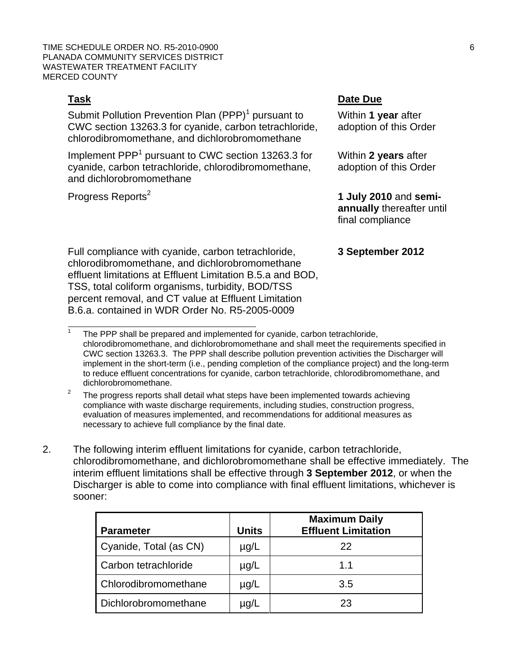TIME SCHEDULE ORDER NO. R5-2010-0900 6 PLANADA COMMUNITY SERVICES DISTRICT WASTEWATER TREATMENT FACILITY MERCED COUNTY

 $\overline{a}$ 1

Submit Pollution Prevention Plan (PPP)<sup>1</sup> pursuant to CWC section 13263.3 for cyanide, carbon tetrachloride, chlorodibromomethane, and dichlorobromomethane

Implement PPP<sup>1</sup> pursuant to CWC section 13263.3 for cyanide, carbon tetrachloride, chlorodibromomethane, and dichlorobromomethane

Progress Reports<sup>2</sup>

# **Task Date Due**

Within **1 year** after adoption of this Order

Within **2 years** after adoption of this Order

 **1 July 2010** and **semiannually** thereafter until final compliance

## **3 September 2012**

Full compliance with cyanide, carbon tetrachloride, chlorodibromomethane, and dichlorobromomethane effluent limitations at Effluent Limitation B.5.a and BOD, TSS, total coliform organisms, turbidity, BOD/TSS percent removal, and CT value at Effluent Limitation B.6.a. contained in WDR Order No. R5-2005-0009

2. The following interim effluent limitations for cyanide, carbon tetrachloride, chlorodibromomethane, and dichlorobromomethane shall be effective immediately. The interim effluent limitations shall be effective through **3 September 2012**, or when the Discharger is able to come into compliance with final effluent limitations, whichever is sooner:

|                        |              | <b>Maximum Daily</b>       |
|------------------------|--------------|----------------------------|
| <b>Parameter</b>       | <b>Units</b> | <b>Effluent Limitation</b> |
| Cyanide, Total (as CN) | $\mu$ g/L    | 22                         |
| Carbon tetrachloride   | $\mu$ g/L    | 11                         |
| Chlorodibromomethane   | $\mu$ g/L    | 3.5                        |
| Dichlorobromomethane   | $\mu$ g/L    | 23                         |

The PPP shall be prepared and implemented for cyanide, carbon tetrachloride, chlorodibromomethane, and dichlorobromomethane and shall meet the requirements specified in CWC section 13263.3. The PPP shall describe pollution prevention activities the Discharger will implement in the short-term (i.e., pending completion of the compliance project) and the long-term to reduce effluent concentrations for cyanide, carbon tetrachloride, chlorodibromomethane, and dichlorobromomethane.

<sup>2</sup> The progress reports shall detail what steps have been implemented towards achieving compliance with waste discharge requirements, including studies, construction progress, evaluation of measures implemented, and recommendations for additional measures as necessary to achieve full compliance by the final date.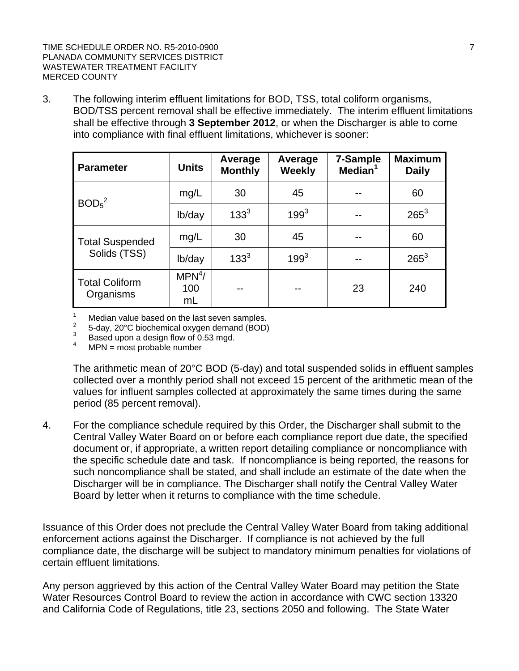TIME SCHEDULE ORDER NO. R5-2010-0900 7 PLANADA COMMUNITY SERVICES DISTRICT WASTEWATER TREATMENT FACILITY MERCED COUNTY

3. The following interim effluent limitations for BOD, TSS, total coliform organisms, BOD/TSS percent removal shall be effective immediately. The interim effluent limitations shall be effective through **3 September 2012**, or when the Discharger is able to come into compliance with final effluent limitations, whichever is sooner:

| <b>Parameter</b>                       | <b>Units</b>                    | Average<br><b>Monthly</b> | Average<br><b>Weekly</b> | 7-Sample<br>Median <sup>1</sup> | <b>Maximum</b><br><b>Daily</b> |
|----------------------------------------|---------------------------------|---------------------------|--------------------------|---------------------------------|--------------------------------|
| BOD <sub>5</sub> <sup>2</sup>          | mg/L                            | 30                        | 45                       |                                 | 60                             |
|                                        | lb/day                          | $133^{3}$                 | $199^{3}$                |                                 | $265^3$                        |
| <b>Total Suspended</b><br>Solids (TSS) | mg/L                            | 30                        | 45                       |                                 | 60                             |
|                                        | lb/day                          | $133^{3}$                 | $199^{3}$                |                                 | $265^3$                        |
| <b>Total Coliform</b><br>Organisms     | MPN <sup>4</sup> /<br>100<br>mL |                           |                          | 23                              | 240                            |

1 Median value based on the last seven samples.

2 5-day, 20°C biochemical oxygen demand (BOD) 3

Based upon a design flow of 0.53 mgd.

4 MPN = most probable number

The arithmetic mean of 20°C BOD (5-day) and total suspended solids in effluent samples collected over a monthly period shall not exceed 15 percent of the arithmetic mean of the values for influent samples collected at approximately the same times during the same period (85 percent removal).

4. For the compliance schedule required by this Order, the Discharger shall submit to the Central Valley Water Board on or before each compliance report due date, the specified document or, if appropriate, a written report detailing compliance or noncompliance with the specific schedule date and task. If noncompliance is being reported, the reasons for such noncompliance shall be stated, and shall include an estimate of the date when the Discharger will be in compliance. The Discharger shall notify the Central Valley Water Board by letter when it returns to compliance with the time schedule.

Issuance of this Order does not preclude the Central Valley Water Board from taking additional enforcement actions against the Discharger. If compliance is not achieved by the full compliance date, the discharge will be subject to mandatory minimum penalties for violations of certain effluent limitations.

Any person aggrieved by this action of the Central Valley Water Board may petition the State Water Resources Control Board to review the action in accordance with CWC section 13320 and California Code of Regulations, title 23, sections 2050 and following. The State Water